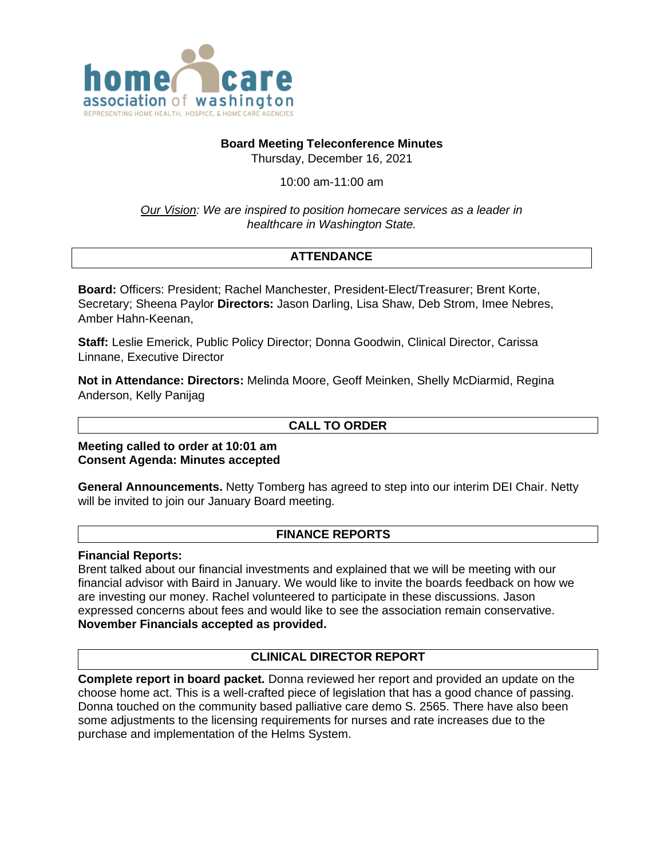

## **Board Meeting Teleconference Minutes**

Thursday, December 16, 2021

10:00 am-11:00 am

*Our Vision: We are inspired to position homecare services as a leader in healthcare in Washington State.*

# **ATTENDANCE**

**Board:** Officers: President; Rachel Manchester, President-Elect/Treasurer; Brent Korte, Secretary; Sheena Paylor **Directors:** Jason Darling, Lisa Shaw, Deb Strom, Imee Nebres, Amber Hahn-Keenan,

**Staff:** Leslie Emerick, Public Policy Director; Donna Goodwin, Clinical Director, Carissa Linnane, Executive Director

**Not in Attendance: Directors:** Melinda Moore, Geoff Meinken, Shelly McDiarmid, Regina Anderson, Kelly Panijag

## **CALL TO ORDER**

**Meeting called to order at 10:01 am Consent Agenda: Minutes accepted**

**General Announcements.** Netty Tomberg has agreed to step into our interim DEI Chair. Netty will be invited to join our January Board meeting.

#### **FINANCE REPORTS**

**Financial Reports:** 

Brent talked about our financial investments and explained that we will be meeting with our financial advisor with Baird in January. We would like to invite the boards feedback on how we are investing our money. Rachel volunteered to participate in these discussions. Jason expressed concerns about fees and would like to see the association remain conservative. **November Financials accepted as provided.**

## **CLINICAL DIRECTOR REPORT**

**Complete report in board packet.** Donna reviewed her report and provided an update on the choose home act. This is a well-crafted piece of legislation that has a good chance of passing. Donna touched on the community based palliative care demo S. 2565. There have also been some adjustments to the licensing requirements for nurses and rate increases due to the purchase and implementation of the Helms System.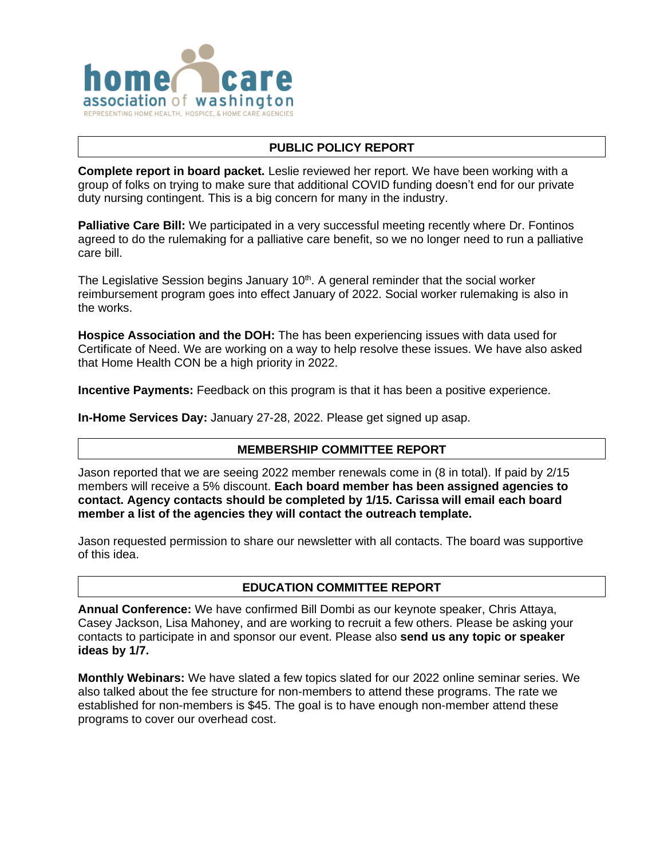

## **PUBLIC POLICY REPORT**

**Complete report in board packet.** Leslie reviewed her report. We have been working with a group of folks on trying to make sure that additional COVID funding doesn't end for our private duty nursing contingent. This is a big concern for many in the industry.

**Palliative Care Bill:** We participated in a very successful meeting recently where Dr. Fontinos agreed to do the rulemaking for a palliative care benefit, so we no longer need to run a palliative care bill.

The Legislative Session begins January 10<sup>th</sup>. A general reminder that the social worker reimbursement program goes into effect January of 2022. Social worker rulemaking is also in the works.

**Hospice Association and the DOH:** The has been experiencing issues with data used for Certificate of Need. We are working on a way to help resolve these issues. We have also asked that Home Health CON be a high priority in 2022.

**Incentive Payments:** Feedback on this program is that it has been a positive experience.

**In-Home Services Day:** January 27-28, 2022. Please get signed up asap.

## **MEMBERSHIP COMMITTEE REPORT**

Jason reported that we are seeing 2022 member renewals come in (8 in total). If paid by 2/15 members will receive a 5% discount. **Each board member has been assigned agencies to contact. Agency contacts should be completed by 1/15. Carissa will email each board member a list of the agencies they will contact the outreach template.**

Jason requested permission to share our newsletter with all contacts. The board was supportive of this idea.

#### **EDUCATION COMMITTEE REPORT**

**Annual Conference:** We have confirmed Bill Dombi as our keynote speaker, Chris Attaya, Casey Jackson, Lisa Mahoney, and are working to recruit a few others. Please be asking your contacts to participate in and sponsor our event. Please also **send us any topic or speaker ideas by 1/7.**

**Monthly Webinars:** We have slated a few topics slated for our 2022 online seminar series. We also talked about the fee structure for non-members to attend these programs. The rate we established for non-members is \$45. The goal is to have enough non-member attend these programs to cover our overhead cost.